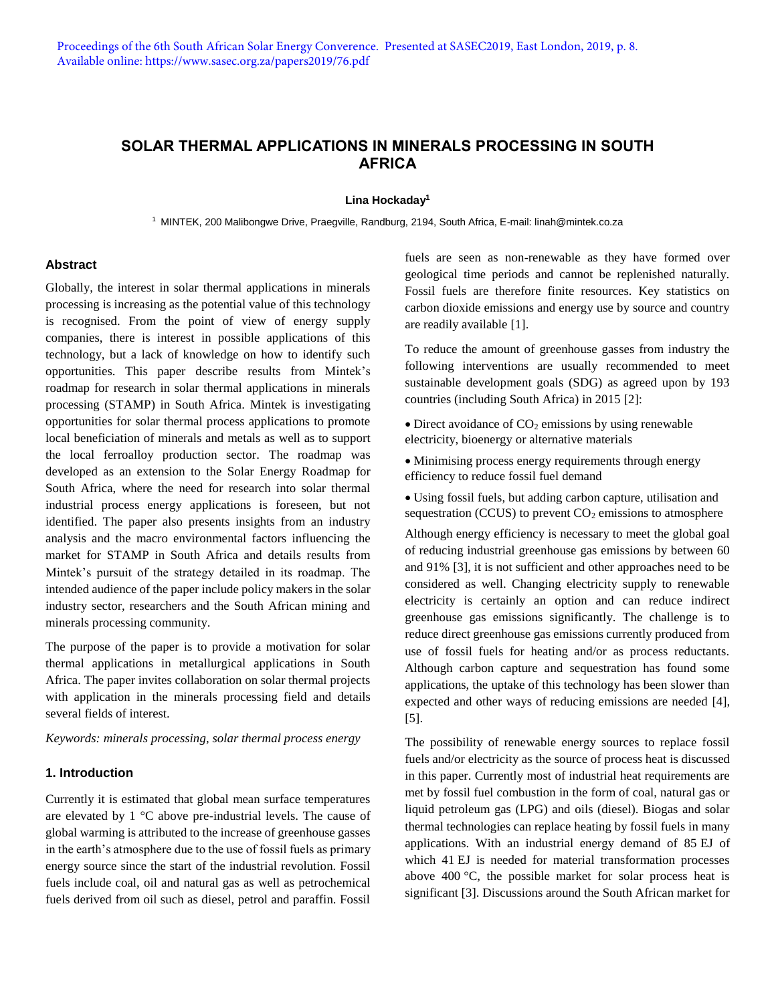# **SOLAR THERMAL APPLICATIONS IN MINERALS PROCESSING IN SOUTH AFRICA**

#### **Lina Hockaday<sup>1</sup>**

1 MINTEK, 200 Malibongwe Drive, Praegville, Randburg, 2194, South Africa, E-mail: linah@mintek.co.za

#### **Abstract**

Globally, the interest in solar thermal applications in minerals processing is increasing as the potential value of this technology is recognised. From the point of view of energy supply companies, there is interest in possible applications of this technology, but a lack of knowledge on how to identify such opportunities. This paper describe results from Mintek's roadmap for research in solar thermal applications in minerals processing (STAMP) in South Africa. Mintek is investigating opportunities for solar thermal process applications to promote local beneficiation of minerals and metals as well as to support the local ferroalloy production sector. The roadmap was developed as an extension to the Solar Energy Roadmap for South Africa, where the need for research into solar thermal industrial process energy applications is foreseen, but not identified. The paper also presents insights from an industry analysis and the macro environmental factors influencing the market for STAMP in South Africa and details results from Mintek's pursuit of the strategy detailed in its roadmap. The intended audience of the paper include policy makers in the solar industry sector, researchers and the South African mining and minerals processing community.

The purpose of the paper is to provide a motivation for solar thermal applications in metallurgical applications in South Africa. The paper invites collaboration on solar thermal projects with application in the minerals processing field and details several fields of interest.

*Keywords: minerals processing, solar thermal process energy* 

#### **1. Introduction**

Currently it is estimated that global mean surface temperatures are elevated by 1 °C above pre-industrial levels. The cause of global warming is attributed to the increase of greenhouse gasses in the earth's atmosphere due to the use of fossil fuels as primary energy source since the start of the industrial revolution. Fossil fuels include coal, oil and natural gas as well as petrochemical fuels derived from oil such as diesel, petrol and paraffin. Fossil

fuels are seen as non-renewable as they have formed over geological time periods and cannot be replenished naturally. Fossil fuels are therefore finite resources. Key statistics on carbon dioxide emissions and energy use by source and country are readily available [1].

To reduce the amount of greenhouse gasses from industry the following interventions are usually recommended to meet sustainable development goals (SDG) as agreed upon by 193 countries (including South Africa) in 2015 [2]:

 $\bullet$  Direct avoidance of CO<sub>2</sub> emissions by using renewable electricity, bioenergy or alternative materials

• Minimising process energy requirements through energy efficiency to reduce fossil fuel demand

 Using fossil fuels, but adding carbon capture, utilisation and sequestration (CCUS) to prevent  $CO<sub>2</sub>$  emissions to atmosphere

Although energy efficiency is necessary to meet the global goal of reducing industrial greenhouse gas emissions by between 60 and 91% [3], it is not sufficient and other approaches need to be considered as well. Changing electricity supply to renewable electricity is certainly an option and can reduce indirect greenhouse gas emissions significantly. The challenge is to reduce direct greenhouse gas emissions currently produced from use of fossil fuels for heating and/or as process reductants. Although carbon capture and sequestration has found some applications, the uptake of this technology has been slower than expected and other ways of reducing emissions are needed [4], [5].

The possibility of renewable energy sources to replace fossil fuels and/or electricity as the source of process heat is discussed in this paper. Currently most of industrial heat requirements are met by fossil fuel combustion in the form of coal, natural gas or liquid petroleum gas (LPG) and oils (diesel). Biogas and solar thermal technologies can replace heating by fossil fuels in many applications. With an industrial energy demand of 85 EJ of which 41 EJ is needed for material transformation processes above 400 °C, the possible market for solar process heat is significant [3]. Discussions around the South African market for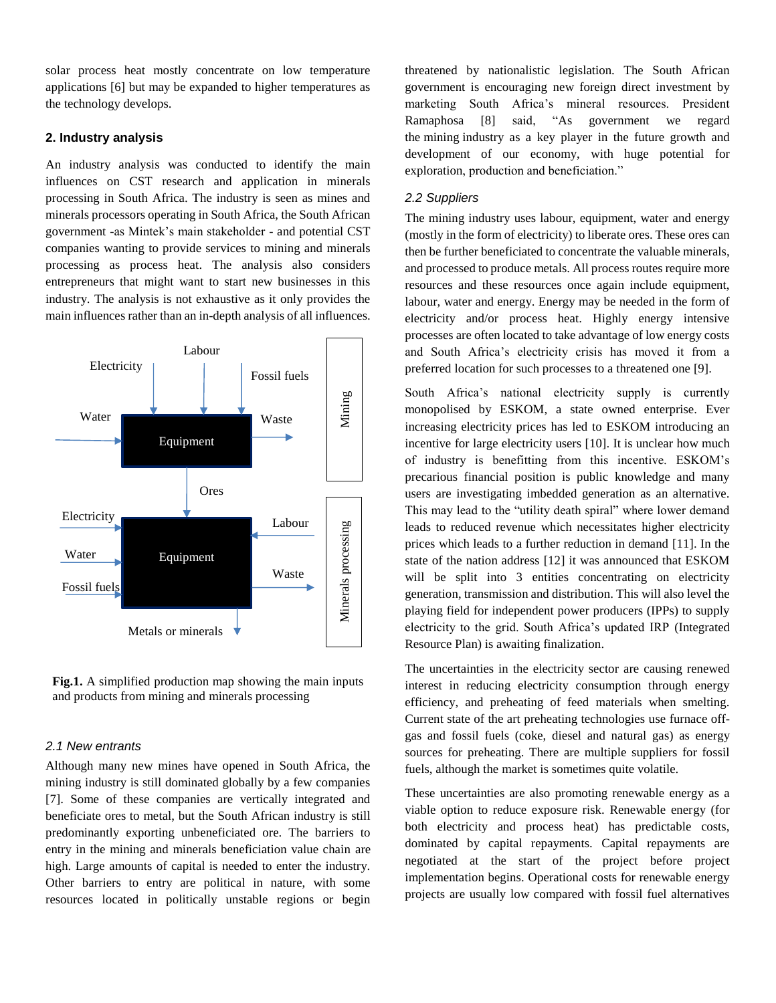solar process heat mostly concentrate on low temperature applications [6] but may be expanded to higher temperatures as the technology develops.

#### **2. Industry analysis**

An industry analysis was conducted to identify the main influences on CST research and application in minerals processing in South Africa. The industry is seen as mines and minerals processors operating in South Africa, the South African government -as Mintek's main stakeholder - and potential CST companies wanting to provide services to mining and minerals processing as process heat. The analysis also considers entrepreneurs that might want to start new businesses in this industry. The analysis is not exhaustive as it only provides the main influences rather than an in-depth analysis of all influences.



**Fig.1.** A simplified production map showing the main inputs and products from mining and minerals processing

## *2.1 New entrants*

Although many new mines have opened in South Africa, the mining industry is still dominated globally by a few companies [7]. Some of these companies are vertically integrated and beneficiate ores to metal, but the South African industry is still predominantly exporting unbeneficiated ore. The barriers to entry in the mining and minerals beneficiation value chain are high. Large amounts of capital is needed to enter the industry. Other barriers to entry are political in nature, with some resources located in politically unstable regions or begin

threatened by nationalistic legislation. The South African government is encouraging new foreign direct investment by marketing South Africa's mineral resources. President Ramaphosa [8] said, "As government we regard the [mining](http://www.miningweekly.com/topic/mining) industry as a key player in the future growth and development of our economy, with huge potential for [exploration,](http://www.miningweekly.com/topic/exploration) production and beneficiation."

#### *2.2 Suppliers*

The mining industry uses labour, equipment, water and energy (mostly in the form of electricity) to liberate ores. These ores can then be further beneficiated to concentrate the valuable minerals, and processed to produce metals. All process routes require more resources and these resources once again include equipment, labour, water and energy. Energy may be needed in the form of electricity and/or process heat. Highly energy intensive processes are often located to take advantage of low energy costs and South Africa's electricity crisis has moved it from a preferred location for such processes to a threatened one [9].

South Africa's national electricity supply is currently monopolised by ESKOM, a state owned enterprise. Ever increasing electricity prices has led to ESKOM introducing an incentive for large electricity users [10]. It is unclear how much of industry is benefitting from this incentive. ESKOM's precarious financial position is public knowledge and many users are investigating imbedded generation as an alternative. This may lead to the "utility death spiral" where lower demand leads to reduced revenue which necessitates higher electricity prices which leads to a further reduction in demand [11]. In the state of the nation address [12] it was announced that ESKOM will be split into 3 entities concentrating on electricity generation, transmission and distribution. This will also level the playing field for independent power producers (IPPs) to supply electricity to the grid. South Africa's updated IRP (Integrated Resource Plan) is awaiting finalization.

The uncertainties in the electricity sector are causing renewed interest in reducing electricity consumption through energy efficiency, and preheating of feed materials when smelting. Current state of the art preheating technologies use furnace offgas and fossil fuels (coke, diesel and natural gas) as energy sources for preheating. There are multiple suppliers for fossil fuels, although the market is sometimes quite volatile.

These uncertainties are also promoting renewable energy as a viable option to reduce exposure risk. Renewable energy (for both electricity and process heat) has predictable costs, dominated by capital repayments. Capital repayments are negotiated at the start of the project before project implementation begins. Operational costs for renewable energy projects are usually low compared with fossil fuel alternatives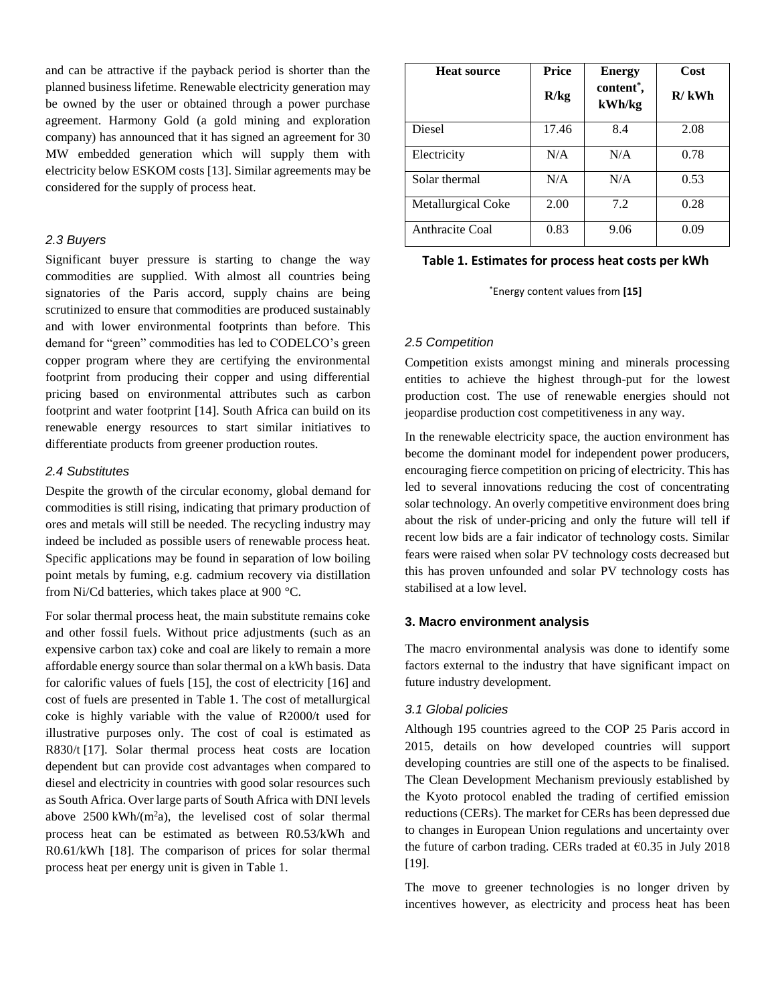and can be attractive if the payback period is shorter than the planned business lifetime. Renewable electricity generation may be owned by the user or obtained through a power purchase agreement. Harmony Gold (a gold mining and exploration company) has announced that it has signed an agreement for 30 MW embedded generation which will supply them with electricity below ESKOM costs [13]. Similar agreements may be considered for the supply of process heat.

#### *2.3 Buyers*

Significant buyer pressure is starting to change the way commodities are supplied. With almost all countries being signatories of the Paris accord, supply chains are being scrutinized to ensure that commodities are produced sustainably and with lower environmental footprints than before. This demand for "green" commodities has led to CODELCO's green copper program where they are certifying the environmental footprint from producing their copper and using differential pricing based on environmental attributes such as carbon footprint and water footprint [14]. South Africa can build on its renewable energy resources to start similar initiatives to differentiate products from greener production routes.

#### *2.4 Substitutes*

Despite the growth of the circular economy, global demand for commodities is still rising, indicating that primary production of ores and metals will still be needed. The recycling industry may indeed be included as possible users of renewable process heat. Specific applications may be found in separation of low boiling point metals by fuming, e.g. cadmium recovery via distillation from Ni/Cd batteries, which takes place at 900 °C.

For solar thermal process heat, the main substitute remains coke and other fossil fuels. Without price adjustments (such as an expensive carbon tax) coke and coal are likely to remain a more affordable energy source than solar thermal on a kWh basis. Data for calorific values of fuels [15], the cost of electricity [16] and cost of fuels are presented in Table 1. The cost of metallurgical coke is highly variable with the value of R2000/t used for illustrative purposes only. The cost of coal is estimated as R830/t [17]. Solar thermal process heat costs are location dependent but can provide cost advantages when compared to diesel and electricity in countries with good solar resources such as South Africa. Over large parts of South Africa with DNI levels above  $2500 \text{ kWh/(m}^2a)$ , the levelised cost of solar thermal process heat can be estimated as between R0.53/kWh and R0.61/kWh [18]. The comparison of prices for solar thermal process heat per energy unit is given in Table 1.

| <b>Heat source</b> | <b>Price</b><br>R/kg | <b>Energy</b><br>content*,<br>kWh/kg | <b>Cost</b><br>$R/\,kWh$ |
|--------------------|----------------------|--------------------------------------|--------------------------|
| Diesel             | 17.46                | 8.4                                  | 2.08                     |
| Electricity        | N/A                  | N/A                                  | 0.78                     |
| Solar thermal      | N/A                  | N/A                                  | 0.53                     |
| Metallurgical Coke | 2.00                 | 7.2                                  | 0.28                     |
| Anthracite Coal    | 0.83                 | 9.06                                 | 0.09                     |

## **Table 1. Estimates for process heat costs per kWh**

\*Energy content values from **[15]**

### *2.5 Competition*

Competition exists amongst mining and minerals processing entities to achieve the highest through-put for the lowest production cost. The use of renewable energies should not jeopardise production cost competitiveness in any way.

In the renewable electricity space, the auction environment has become the dominant model for independent power producers, encouraging fierce competition on pricing of electricity. This has led to several innovations reducing the cost of concentrating solar technology. An overly competitive environment does bring about the risk of under-pricing and only the future will tell if recent low bids are a fair indicator of technology costs. Similar fears were raised when solar PV technology costs decreased but this has proven unfounded and solar PV technology costs has stabilised at a low level.

#### **3. Macro environment analysis**

The macro environmental analysis was done to identify some factors external to the industry that have significant impact on future industry development.

#### *3.1 Global policies*

Although 195 countries agreed to the COP 25 Paris accord in 2015, details on how developed countries will support developing countries are still one of the aspects to be finalised. The Clean Development Mechanism previously established by the Kyoto protocol enabled the trading of certified emission reductions (CERs). The market for CERs has been depressed due to changes in European Union regulations and uncertainty over the future of carbon trading. CERs traded at  $\epsilon$ 0.35 in July 2018 [19].

The move to greener technologies is no longer driven by incentives however, as electricity and process heat has been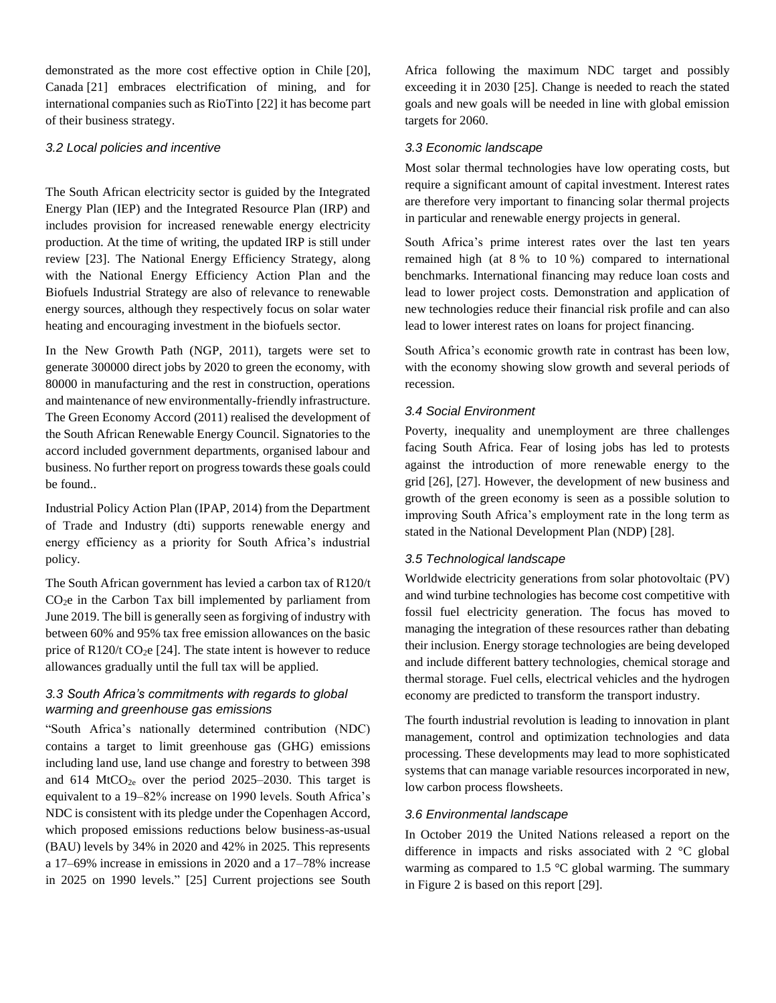demonstrated as the more cost effective option in Chile [20], Canada [21] embraces electrification of mining, and for international companies such as RioTinto [22] it has become part of their business strategy.

### *3.2 Local policies and incentive*

The South African electricity sector is guided by the Integrated Energy Plan (IEP) and the Integrated Resource Plan (IRP) and includes provision for increased renewable energy electricity production. At the time of writing, the updated IRP is still under review [23]. The National Energy Efficiency Strategy, along with the National Energy Efficiency Action Plan and the Biofuels Industrial Strategy are also of relevance to renewable energy sources, although they respectively focus on solar water heating and encouraging investment in the biofuels sector.

In the New Growth Path (NGP, 2011), targets were set to generate 300000 direct jobs by 2020 to green the economy, with 80000 in manufacturing and the rest in construction, operations and maintenance of new environmentally-friendly infrastructure. The Green Economy Accord (2011) realised the development of the South African Renewable Energy Council. Signatories to the accord included government departments, organised labour and business. No further report on progress towards these goals could be found..

Industrial Policy Action Plan (IPAP, 2014) from the Department of Trade and Industry (dti) supports renewable energy and energy efficiency as a priority for South Africa's industrial policy.

The South African government has levied a carbon tax of R120/t  $CO<sub>2</sub>e$  in the Carbon Tax bill implemented by parliament from June 2019. The bill is generally seen as forgiving of industry with between 60% and 95% tax free emission allowances on the basic price of R120/t  $CO<sub>2</sub>e$  [24]. The state intent is however to reduce allowances gradually until the full tax will be applied.

## *3.3 South Africa's commitments with regards to global warming and greenhouse gas emissions*

"South Africa's nationally determined contribution (NDC) contains a target to limit greenhouse gas (GHG) emissions including land use, land use change and forestry to between 398 and  $614$  MtCO<sub>2e</sub> over the period 2025–2030. This target is equivalent to a 19–82% increase on 1990 levels. South Africa's NDC is consistent with its pledge under the Copenhagen Accord, which proposed emissions reductions below business-as-usual (BAU) levels by 34% in 2020 and 42% in 2025. This represents a 17–69% increase in emissions in 2020 and a 17–78% increase in 2025 on 1990 levels." [25] Current projections see South

Africa following the maximum NDC target and possibly exceeding it in 2030 [25]. Change is needed to reach the stated goals and new goals will be needed in line with global emission targets for 2060.

## *3.3 Economic landscape*

Most solar thermal technologies have low operating costs, but require a significant amount of capital investment. Interest rates are therefore very important to financing solar thermal projects in particular and renewable energy projects in general.

South Africa's prime interest rates over the last ten years remained high (at 8 % to 10 %) compared to international benchmarks. International financing may reduce loan costs and lead to lower project costs. Demonstration and application of new technologies reduce their financial risk profile and can also lead to lower interest rates on loans for project financing.

South Africa's economic growth rate in contrast has been low, with the economy showing slow growth and several periods of recession.

## *3.4 Social Environment*

Poverty, inequality and unemployment are three challenges facing South Africa. Fear of losing jobs has led to protests against the introduction of more renewable energy to the grid [26], [27]. However, the development of new business and growth of the green economy is seen as a possible solution to improving South Africa's employment rate in the long term as stated in the National Development Plan (NDP) [28].

#### *3.5 Technological landscape*

Worldwide electricity generations from solar photovoltaic (PV) and wind turbine technologies has become cost competitive with fossil fuel electricity generation. The focus has moved to managing the integration of these resources rather than debating their inclusion. Energy storage technologies are being developed and include different battery technologies, chemical storage and thermal storage. Fuel cells, electrical vehicles and the hydrogen economy are predicted to transform the transport industry.

The fourth industrial revolution is leading to innovation in plant management, control and optimization technologies and data processing. These developments may lead to more sophisticated systems that can manage variable resources incorporated in new, low carbon process flowsheets.

### *3.6 Environmental landscape*

In October 2019 the United Nations released a report on the difference in impacts and risks associated with 2 °C global warming as compared to 1.5 °C global warming. The summary in Figure 2 is based on this report [29].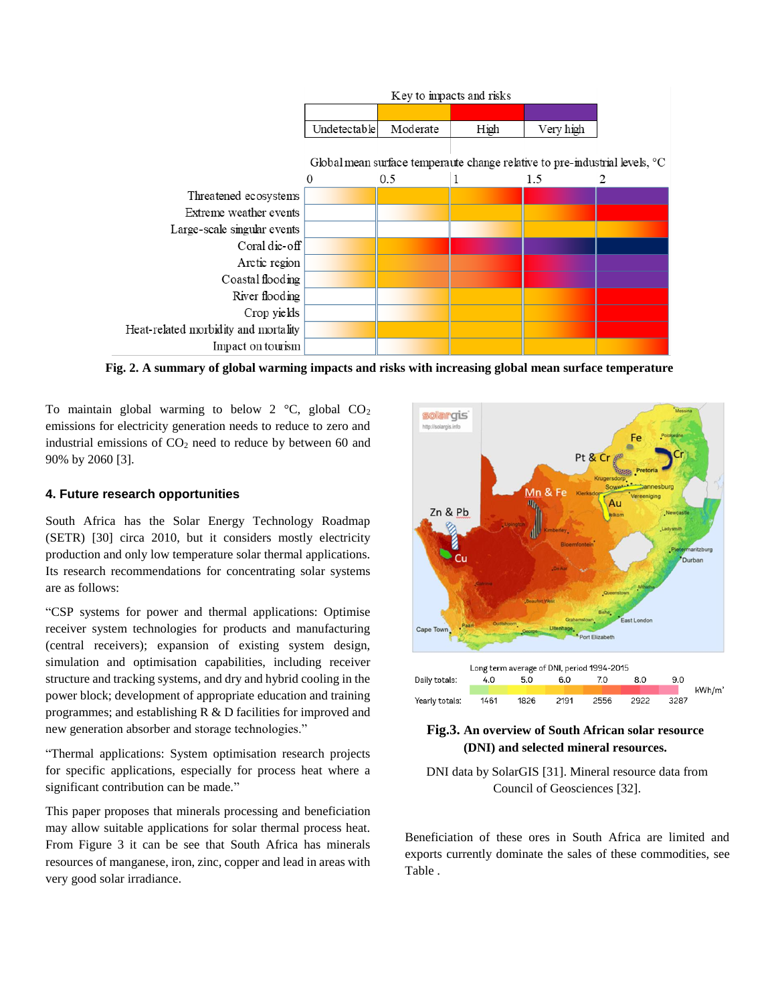

**Fig. 2. A summary of global warming impacts and risks with increasing global mean surface temperature**

To maintain global warming to below 2  $\degree$ C, global CO<sub>2</sub> emissions for electricity generation needs to reduce to zero and industrial emissions of  $CO<sub>2</sub>$  need to reduce by between 60 and 90% by 2060 [3].

#### **4. Future research opportunities**

South Africa has the Solar Energy Technology Roadmap (SETR) [30] circa 2010, but it considers mostly electricity production and only low temperature solar thermal applications. Its research recommendations for concentrating solar systems are as follows:

"CSP systems for power and thermal applications: Optimise receiver system technologies for products and manufacturing (central receivers); expansion of existing system design, simulation and optimisation capabilities, including receiver structure and tracking systems, and dry and hybrid cooling in the power block; development of appropriate education and training programmes; and establishing R & D facilities for improved and new generation absorber and storage technologies."

"Thermal applications: System optimisation research projects for specific applications, especially for process heat where a significant contribution can be made."

This paper proposes that minerals processing and beneficiation may allow suitable applications for solar thermal process heat. From Figure 3 it can be see that South Africa has minerals resources of manganese, iron, zinc, copper and lead in areas with very good solar irradiance.



## **Fig.3. An overview of South African solar resource (DNI) and selected mineral resources.**

DNI data by SolarGIS [31]. Mineral resource data from Council of Geosciences [32].

Beneficiation of these ores in South Africa are limited and exports currently dominate the sales of these commodities, see [Table .](#page-5-0)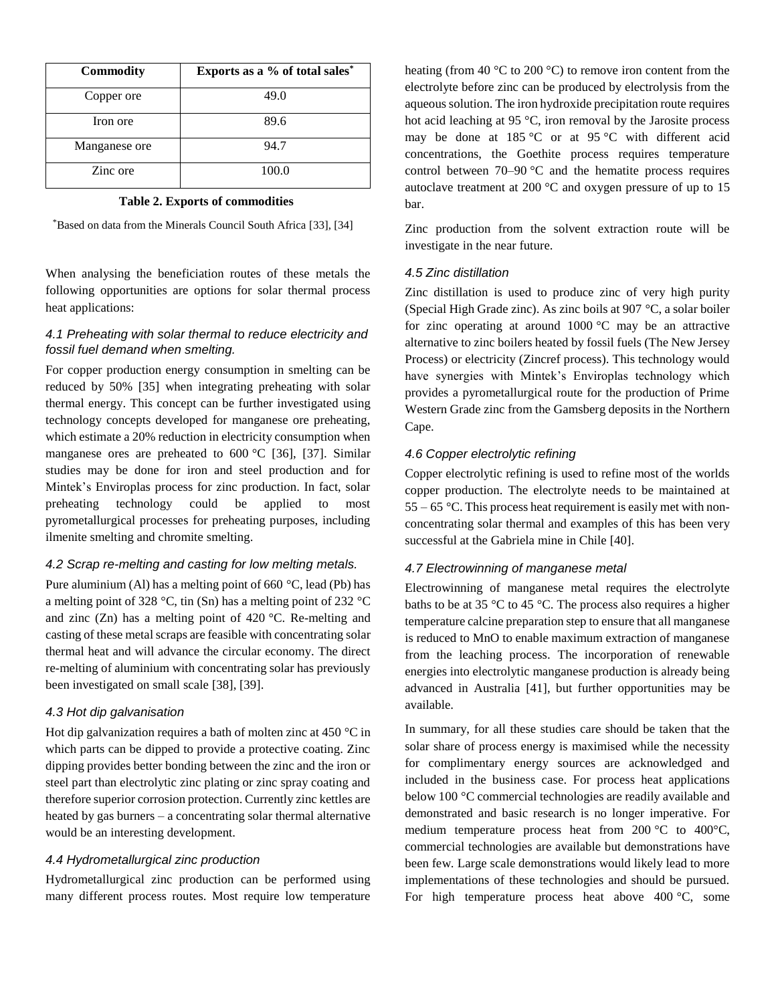| <b>Commodity</b> | Exports as a % of total sales* |  |  |
|------------------|--------------------------------|--|--|
| Copper ore       | 49.0                           |  |  |
| Iron ore         | 89.6                           |  |  |
| Manganese ore    | 94.7                           |  |  |
| Zinc ore         | 100.0                          |  |  |

#### **Table 2. Exports of commodities**

<span id="page-5-0"></span>\*Based on data from the Minerals Council South Africa [33], [34]

When analysing the beneficiation routes of these metals the following opportunities are options for solar thermal process heat applications:

## *4.1 Preheating with solar thermal to reduce electricity and fossil fuel demand when smelting.*

For copper production energy consumption in smelting can be reduced by 50% [35] when integrating preheating with solar thermal energy. This concept can be further investigated using technology concepts developed for manganese ore preheating, which estimate a 20% reduction in electricity consumption when manganese ores are preheated to 600 °C [36], [37]. Similar studies may be done for iron and steel production and for Mintek's Enviroplas process for zinc production. In fact, solar preheating technology could be applied to most pyrometallurgical processes for preheating purposes, including ilmenite smelting and chromite smelting.

## *4.2 Scrap re-melting and casting for low melting metals.*

Pure aluminium (Al) has a melting point of 660 °C, lead (Pb) has a melting point of 328 °C, tin (Sn) has a melting point of 232 °C and zinc (Zn) has a melting point of  $420^{\circ}$ C. Re-melting and casting of these metal scraps are feasible with concentrating solar thermal heat and will advance the circular economy. The direct re-melting of aluminium with concentrating solar has previously been investigated on small scale [38], [39].

## *4.3 Hot dip galvanisation*

Hot dip galvanization requires a bath of molten zinc at 450 °C in which parts can be dipped to provide a protective coating. Zinc dipping provides better bonding between the zinc and the iron or steel part than electrolytic zinc plating or zinc spray coating and therefore superior corrosion protection. Currently zinc kettles are heated by gas burners – a concentrating solar thermal alternative would be an interesting development.

### *4.4 Hydrometallurgical zinc production*

Hydrometallurgical zinc production can be performed using many different process routes. Most require low temperature

heating (from 40 °C to 200 °C) to remove iron content from the electrolyte before zinc can be produced by electrolysis from the aqueous solution. The iron hydroxide precipitation route requires hot acid leaching at 95 °C, iron removal by the Jarosite process may be done at 185 °C or at 95 °C with different acid concentrations, the Goethite process requires temperature control between  $70-90$  °C and the hematite process requires autoclave treatment at 200 °C and oxygen pressure of up to 15 bar.

Zinc production from the solvent extraction route will be investigate in the near future.

#### *4.5 Zinc distillation*

Zinc distillation is used to produce zinc of very high purity (Special High Grade zinc). As zinc boils at 907 °C, a solar boiler for zinc operating at around  $1000 \degree C$  may be an attractive alternative to zinc boilers heated by fossil fuels (The New Jersey Process) or electricity (Zincref process). This technology would have synergies with Mintek's Enviroplas technology which provides a pyrometallurgical route for the production of Prime Western Grade zinc from the Gamsberg deposits in the Northern Cape.

#### *4.6 Copper electrolytic refining*

Copper electrolytic refining is used to refine most of the worlds copper production. The electrolyte needs to be maintained at  $55 - 65$  °C. This process heat requirement is easily met with nonconcentrating solar thermal and examples of this has been very successful at the Gabriela mine in Chile [40].

#### *4.7 Electrowinning of manganese metal*

Electrowinning of manganese metal requires the electrolyte baths to be at 35 °C to 45 °C. The process also requires a higher temperature calcine preparation step to ensure that all manganese is reduced to MnO to enable maximum extraction of manganese from the leaching process. The incorporation of renewable energies into electrolytic manganese production is already being advanced in Australia [41], but further opportunities may be available.

In summary, for all these studies care should be taken that the solar share of process energy is maximised while the necessity for complimentary energy sources are acknowledged and included in the business case. For process heat applications below 100 °C commercial technologies are readily available and demonstrated and basic research is no longer imperative. For medium temperature process heat from 200 °C to 400°C, commercial technologies are available but demonstrations have been few. Large scale demonstrations would likely lead to more implementations of these technologies and should be pursued. For high temperature process heat above 400 °C, some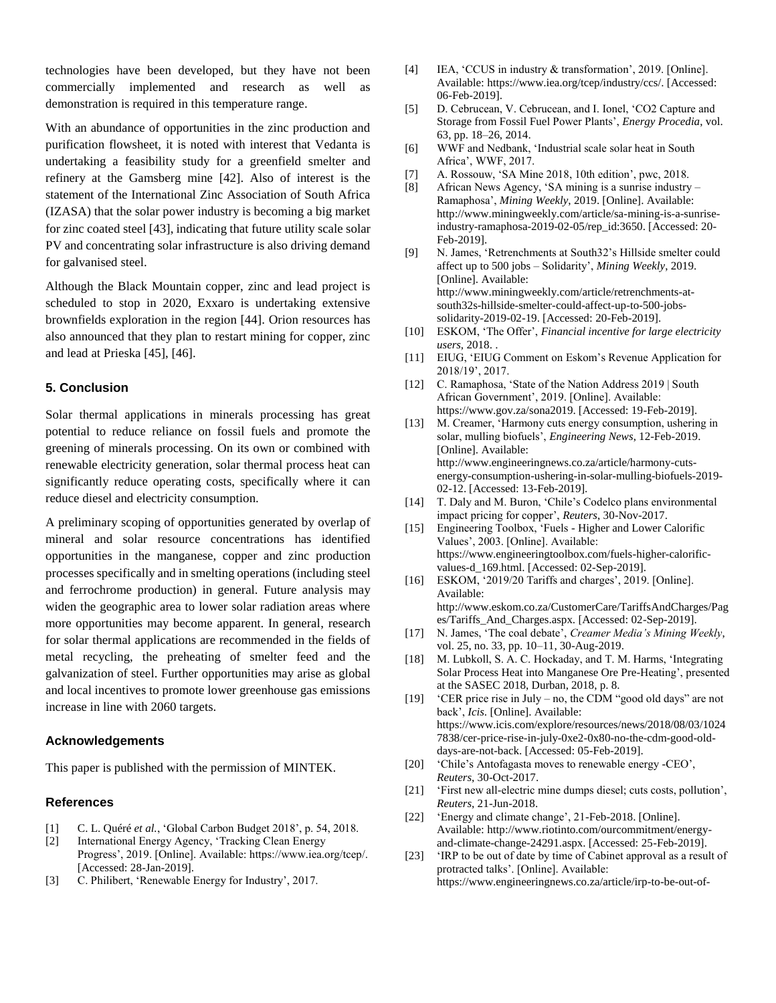technologies have been developed, but they have not been commercially implemented and research as well as demonstration is required in this temperature range.

With an abundance of opportunities in the zinc production and purification flowsheet, it is noted with interest that Vedanta is undertaking a feasibility study for a greenfield smelter and refinery at the Gamsberg mine [42]. Also of interest is the statement of the International Zinc Association of South Africa (IZASA) that the solar power industry is becoming a big market for zinc coated steel [43], indicating that future utility scale solar PV and concentrating solar infrastructure is also driving demand for galvanised steel.

Although the Black Mountain copper, zinc and lead project is scheduled to stop in 2020, Exxaro is undertaking extensive brownfields exploration in the region [44]. Orion resources has also announced that they plan to restart mining for copper, zinc and lead at Prieska [45], [46].

#### **5. Conclusion**

Solar thermal applications in minerals processing has great potential to reduce reliance on fossil fuels and promote the greening of minerals processing. On its own or combined with renewable electricity generation, solar thermal process heat can significantly reduce operating costs, specifically where it can reduce diesel and electricity consumption.

A preliminary scoping of opportunities generated by overlap of mineral and solar resource concentrations has identified opportunities in the manganese, copper and zinc production processes specifically and in smelting operations (including steel and ferrochrome production) in general. Future analysis may widen the geographic area to lower solar radiation areas where more opportunities may become apparent. In general, research for solar thermal applications are recommended in the fields of metal recycling, the preheating of smelter feed and the galvanization of steel. Further opportunities may arise as global and local incentives to promote lower greenhouse gas emissions increase in line with 2060 targets.

#### **Acknowledgements**

This paper is published with the permission of MINTEK.

#### **References**

- [1] C. L. Quéré *et al.*, 'Global Carbon Budget 2018', p. 54, 2018.
- [2] International Energy Agency, 'Tracking Clean Energy Progress', 2019. [Online]. Available: https://www.iea.org/tcep/. [Accessed: 28-Jan-2019].
- [3] C. Philibert, 'Renewable Energy for Industry', 2017.
- [4] IEA, 'CCUS in industry & transformation', 2019. [Online]. Available: https://www.iea.org/tcep/industry/ccs/. [Accessed: 06-Feb-2019].
- [5] D. Cebrucean, V. Cebrucean, and I. Ionel, 'CO2 Capture and Storage from Fossil Fuel Power Plants', *Energy Procedia*, vol. 63, pp. 18–26, 2014.
- [6] WWF and Nedbank, 'Industrial scale solar heat in South Africa', WWF, 2017.
- [7] A. Rossouw, 'SA Mine 2018, 10th edition', pwc, 2018.
- [8] African News Agency, 'SA mining is a sunrise industry Ramaphosa', *Mining Weekly*, 2019. [Online]. Available: http://www.miningweekly.com/article/sa-mining-is-a-sunriseindustry-ramaphosa-2019-02-05/rep\_id:3650. [Accessed: 20- Feb-2019].
- [9] N. James, 'Retrenchments at South32's Hillside smelter could affect up to 500 jobs – Solidarity', *Mining Weekly*, 2019. [Online]. Available: http://www.miningweekly.com/article/retrenchments-atsouth32s-hillside-smelter-could-affect-up-to-500-jobssolidarity-2019-02-19. [Accessed: 20-Feb-2019].
- [10] ESKOM, 'The Offer', *Financial incentive for large electricity users*, 2018. .
- [11] EIUG, 'EIUG Comment on Eskom's Revenue Application for 2018/19', 2017.
- [12] C. Ramaphosa, 'State of the Nation Address 2019 | South African Government', 2019. [Online]. Available: https://www.gov.za/sona2019. [Accessed: 19-Feb-2019].
- [13] M. Creamer, 'Harmony cuts energy consumption, ushering in solar, mulling biofuels', *Engineering News*, 12-Feb-2019. [Online]. Available: http://www.engineeringnews.co.za/article/harmony-cutsenergy-consumption-ushering-in-solar-mulling-biofuels-2019- 02-12. [Accessed: 13-Feb-2019].
- [14] T. Daly and M. Buron, 'Chile's Codelco plans environmental impact pricing for copper', *Reuters*, 30-Nov-2017.
- [15] Engineering Toolbox, 'Fuels Higher and Lower Calorific Values', 2003. [Online]. Available: https://www.engineeringtoolbox.com/fuels-higher-calorificvalues-d\_169.html. [Accessed: 02-Sep-2019].
- [16] ESKOM, '2019/20 Tariffs and charges', 2019. [Online]. Available: http://www.eskom.co.za/CustomerCare/TariffsAndCharges/Pag es/Tariffs\_And\_Charges.aspx. [Accessed: 02-Sep-2019].
- [17] N. James, 'The coal debate', *Creamer Media's Mining Weekly*, vol. 25, no. 33, pp. 10–11, 30-Aug-2019.
- [18] M. Lubkoll, S. A. C. Hockaday, and T. M. Harms, 'Integrating Solar Process Heat into Manganese Ore Pre-Heating', presented at the SASEC 2018, Durban, 2018, p. 8.
- [19] 'CER price rise in July no, the CDM "good old days" are not back', *Icis*. [Online]. Available: https://www.icis.com/explore/resources/news/2018/08/03/1024 7838/cer-price-rise-in-july-0xe2-0x80-no-the-cdm-good-olddays-are-not-back. [Accessed: 05-Feb-2019].
- [20] 'Chile's Antofagasta moves to renewable energy -CEO', *Reuters*, 30-Oct-2017.
- [21] 'First new all-electric mine dumps diesel; cuts costs, pollution', *Reuters*, 21-Jun-2018.
- [22] 'Energy and climate change', 21-Feb-2018. [Online]. Available: http://www.riotinto.com/ourcommitment/energyand-climate-change-24291.aspx. [Accessed: 25-Feb-2019].
- [23] 'IRP to be out of date by time of Cabinet approval as a result of protracted talks'. [Online]. Available: https://www.engineeringnews.co.za/article/irp-to-be-out-of-